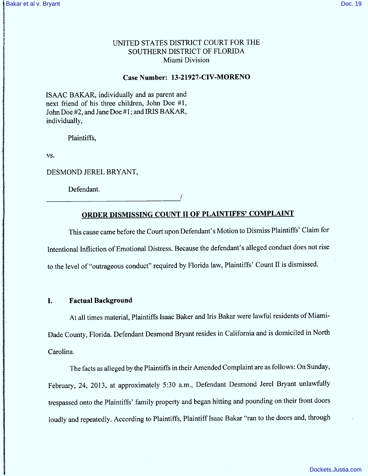# UNITED STATES DISTRICT COURT FOR THE SOUTHERN DISTRJCT OF FLORIDA Miami Division

#### Case Number: 13-21927-CIV-MORENO

ISAAC BAKAR, individually and as parent and next friend of his three children, John Doe #1, John Doe #2, and Jane Doe #1; and IRIS BAKAR, individually,

Plaintiffs,

VS.

DESMOND JEREL BRYANT,

Defendant.

# ORDER DISMISSING COUNT II OF PLAINTIFFS' COMPLAINT

This cause came before the Court upon Defendant's Motion to Dismiss Plaintiffs' Claim for lntentional Intliction of Emotional Distress. Because the defendant's alleged conduct does not rise to the level of "outrageous conduct" required by Florida law, Plaintiffs' Count II is dismissed.

#### 1. Factual Background

At all times material, Plaintiffs Isaac Baker and Iris Bakar were lawful residents of Miami-Dade County, Florida. Defendant Desmond Bryant resides in California and is domiciled in North Carolina.

The facts as alleged by the Plaintiffs in their Amended Complaint are as follows: On Sunday, February, 24, 2013, at approximately 5:30 a.m., Defendant Desmond Jerel Bryant unlawfully trespassed onto the Plaintiffs' family property and began hitting and pounding on their front doors loudly and repeatedly. According to Plaintiffs, Plaintiff Isaac Bakar "ran to the doors and, through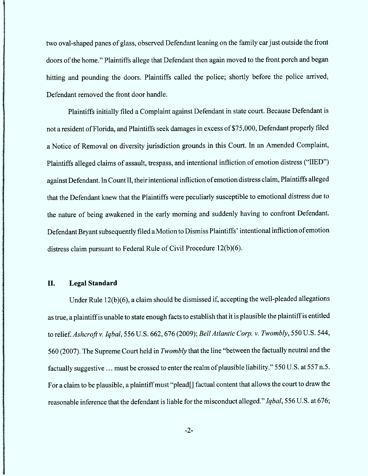two oval-shaped panes of glass, observed Defendant leaning on the family carjust outside the front doors of the home." Plaintiffs allege that Defendant then again moved to the front porch and began hitting and pounding the doors. Plaintiffs called the police; shortly before the police arrived, Defendant removed the front door handle.

Plaintiffs initially filed a Complaint against Defendant in state court. Because Defendant is not a resident of Florida, and Plaintiffs seek damages in excess of \$75,000, Defendant properly filed a Notice of Removal on diversity jurisdiction grounds in this Court. ln an Amended Complaint, Plaintiffs alleged claims of assault, trespass, and intentional infliction of emotion distress ("IIED") against Defendant. ln Count lI, their intentional infliction of em otion distress claim , Plaintiffs alleged that the Defendant knew that the Plaintiffs were peculiarly susceptible to em otional distress due to the nature of being awakened in the early morning and suddenly having to confront Defendant. Defendant Bryant subsequently filed a Motion to Dismiss Plaintiffs' intentional infliction of emotion distress claim pursuant to Federal Rule of Civil Procedure l2(b)(6).

#### II. Legal Standard

Under Rule  $12(b)(6)$ , a claim should be dismissed if, accepting the well-pleaded allegations as true, a plaintiff is unable to state enough facts to establish that it is plausible the plaintiff is entitled to relief. Ashcroft v. Iqbal, 556 U.S. 662, 676 (2009); Bell Atlantic Corp. v. Twombly, 550 U.S. 544, 560 (2007). The Supreme Court held in *Twombly* that the line "between the factually neutral and the factually suggestive ... must be crossed to enter the realm of plausible liability." 550 U.S. at 557 n.5. For a claim to be plausible, a plaintiff must "plead[] factual content that allows the court to draw the reasonable inference that the defendant is liable for the misconduct alleged." Iqbal, 556 U.S. at 676;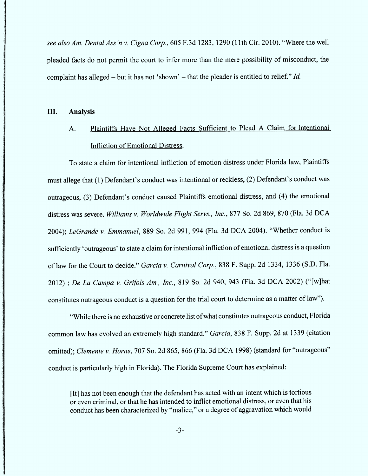see also Am. Dental Ass'n v. Cigna Corp., 605 F.3d 1283, 1290 (11th Cir. 2010). "Where the well pleaded facts do not permit the court to infer more than the mere possibility of misconduct, the complaint has alleged – but it has not 'shown' – that the pleader is entitled to relief."  $Id$ .

#### III. Analysis

# A. Plaintiffs Have Not Alleged Facts Sufficient to Plead A Claim for Intentional Infliction of Emotional Distress.

To state a claim for intentional infliction of emotion distress under Florida law, Plaintiffs must allege that (1) Defendant's conduct was intentional or reckless, (2) Defendant's conduct was outrageous, (3) Defendant's conduct caused Plaintiffs emotional distress, and (4) the emotional distress was severe. Williams v. Worldwide Flight Servs., Inc., 877 So. 2d 869, 870 (Fla. 3d DCA 2004); LeGrande v. Emmanuel, 889 So. 2d 991, 994 (Fla. 3d DCA 2004). "Whether conduct is sufficiently 'outrageous' to state a claim for intentional infliction of emotional distress is a question of law for the Court to decide." Garcia v. Carnival Corp., 838 F. Supp. 2d 1334, 1336 (S.D. Fla. 2012) ; De La Campa v. Grifols Am., Inc., 819 So. 2d 940, 943 (Fla. 3d DCA 2002) ("[w]hat constitutes outrageous conduct is a question for the trial court to determine as a matter of 1aw'').

"While there is no exhaustive or concrete list of what constitutes outrageous conduct, Florida common law has evolved an extremely high standard." Garcia, 838 F. Supp. 2d at 1339 (citation omitted); Clemente v. Horne, 707 So. 2d 865, 866 (Fla. 3d DCA 1998) (standard for "outrageous" conduct is particularly high in Florida). The Florida Supreme Court has explained;

(It1 has not been enough that the defendant has acted with an intent which is tortious or even crim inal, or that he has intended to intlict emotional distress, or even that his conduct has been characterized by "malice," or a degree of aggravation which would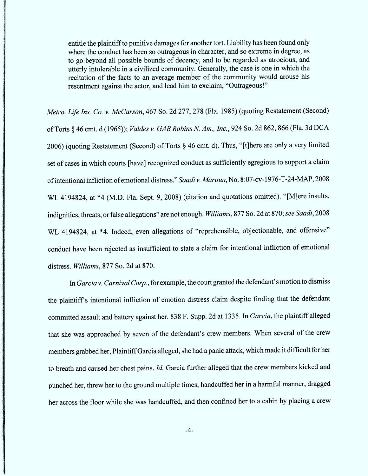entitle the plaintiff to punitive damages for another tort. Liability has been found only where the conduct has been so outrageous in character, and so extreme in degree, as to go beyond a11 possible bounds of decency, and to be regarded as atrocious, and utterly intolerable in a civilized community. Generally, the case is one in which the recitation of the facts to an average member of the community would arouse his resentment against the actor, and lead him to exclaim, "Outrageous!"

Metro. Life Ins. Co. v. McCarson, 467 So. 2d 277, 278 (Fla. 1985) (quoting Restatement (Second) of Torts § 46 cmt. d (1965)); Valdes v. GAB Robins N. Am., Inc., 924 So. 2d 862, 866 (Fla. 3d DCA 2006) (quoting Restatement (Second) of Torts  $\S$  46 cmt. d). Thus, "[t]here are only a very limited set of cases in which courts [have] recognized conduct as sufficiently egregious to support a claim of intentional infliction of emotional distress." Saadi v. Maroun, No. 8:07-cv-1976-T-24-MAP, 2008 WL 4194824, at \*4 (M.D. Fla. Sept. 9, 2008) (citation and quotations omitted). "[M]ere insults, indignities, threats, or false allegations" are not enough. Williams, 877 So. 2d at 870; see Saadi, 2008 WL 4194824, at \*4. Indeed, even allegations of "reprehensible, objectionable, and offensive" conduct have been rejected as insufficient to state a claim for intentional infliction of emotional distress. *Williams*, 877 So. 2d at 870.

In Garcia v. Carnival Corp., for example, the court granted the defendant's motion to dismiss the plaintiff's intentional infliction of emotion distress claim despite finding that the defendant committed assault and battery against her. 838 F. Supp. 2d at 1335. In Garcia, the plaintiff alleged that she was approached by seven of the defendant's crew members. When several of the crew members grabbed her, Plaintiff Garcia alleged, she had a panic attack, which made it difficult for her to breath and caused her chest pains. Id. Garcia further alleged that the crew members kicked and punched her, threw her to the ground multiple times, handcuffed her in a harmful manner, dragged her across the floor while she was handcuffed, and then confined her to a cabin by placing a crew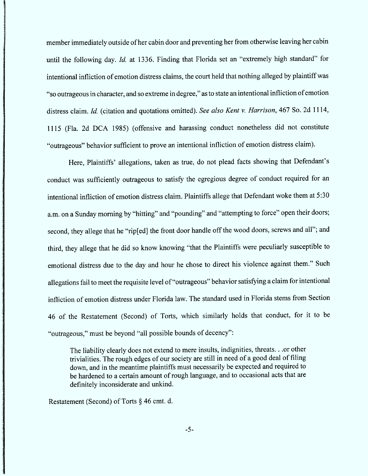mem ber im mediately outside of her cabin door and preventing her from otherwise leaving her cabin until the following day. *Id.* at 1336. Finding that Florida set an "extremely high standard" for intentional infliction of emotion distress claims, the court held that nothing alleged by plaintiff was "so outrageous in character, and so extreme in degree," as to state an intentional infliction of emotion distress claim. Id. (citation and quotations omitted). See also Kent v. Harrison, 467 So. 2d 1114, l 1 15 (F1a. 2d DCA 1985) (offensive and harassing conduct nonetheless did not constitute "outrageous" behavior sufficient to prove an intentional infliction of emotion distress claim).

Here, Plaintiffs' allegations, taken as true, do not plead facts showing that Defendant's conduct was sufficiently outrageous to satisfy the egregious degree of conduct required for an intentional infliction of emotion distress claim. Plaintiffs allege that Defendant woke them at 5:30 a.m. on a Sunday morning by "hitting" and "pounding" and "attempting to force" open their doors; second, they allege that he "rip[ed] the front door handle off the wood doors, screws and all"; and third, they allege that he did so know knowing "that the Plaintiffs were peculiarly susceptible to em otional distress due to the day and hour he chose to direct his violence against them.'' Such allegations fail to meet the requisite level of "outrageous" behavior satisfying a claim for intentional infliction of emotion distress under Florida law. The standard used in Florida stems from Section 46 of the Restatement (Second) of Torts, which similarly holds that conduct, for it to be "outrageous," must be beyond "all possible bounds of decency":

The liability clearly does not extend to mere insults, indignities, threats. . .or other trivialities. The rough edges of our society are still in need of a good deal of tiling down, and in the meantime plaintiffs must necessarily be expected and required to be hardened to a certain amount of rough language, and to occasional acts that are definitely inconsiderate and unkind.

Restatement (Second) of Torts  $\S$  46 cmt. d.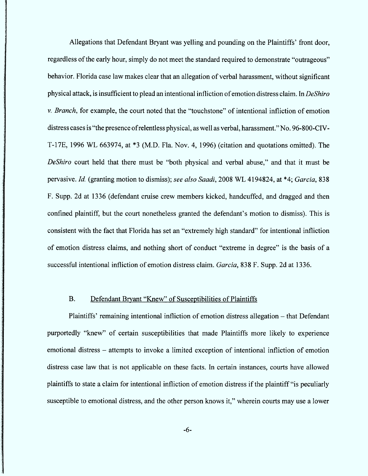Allegations that Defendant Bryant was yelling and pounding on the Plaintiffs' front door, regardless of the early hour, simply do not meet the standard required to demonstrate "outrageous" behavior. Florida case law makes clear that an allegation of verbal harassment, without significant physical attack, is insufficient to plead an intentional infliction of emotion distress claim. In DeShiro  $v.$  Branch, for example, the court noted that the "touchstone" of intentional infliction of emotion distress cases is "the presence of relentless physical, as well as verbal, harassment." No. 96-800-CIV-T-17E, 1996 WL 663974, at \*3 (M.D. Fla. Nov. 4, 1996) (citation and quotations omitted). The DeShiro court held that there must be "both physical and verbal abuse," and that it must be pervasive. Id. (granting motion to dismiss); see also Saadi, 2008 WL 4194824, at \*4; Garcia, 838 F. Supp. 2d at 1336 (defendant cruise crew members kicked, handcuffed, and dragged and then confined plaintiff, but the court nonetheless granted the defendant's motion to dismiss). This is consistent with the fact that Florida has set an "extremely high standard" for intentional infliction of emotion distress claims, and nothing short of conduct "extreme in degree" is the basis of a successful intentional infliction of emotion distress claim. Garcia, 838 F. Supp. 2d at 1336.

#### $B<sub>r</sub>$ Defendant Bryant "Knew" of Susceptibilities of Plaintiffs

Plaintiffs' remaining intentional infliction of emotion distress allegation – that Defendant purportedly "knew" of certain susceptibilities that made Plaintiffs more likely to experience emotional distress – attempts to invoke a limited exception of intentional infliction of emotion distress case 1aw that is not applicable on these facts. In certain instances, courts have allowed plaintiffs to state a claim for intentional infliction of emotion distress if the plaintiff "is peculiarly susceptible to emotional distress, and the other person knows it," wherein courts may use a lower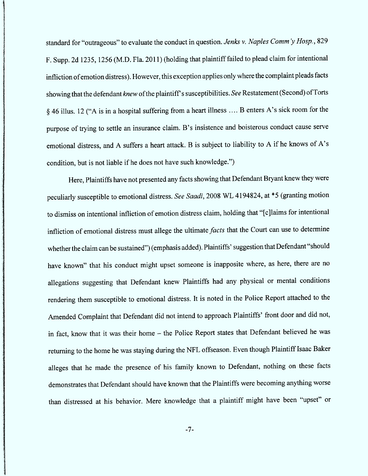standard for "outrageous" to evaluate the conduct in question. Jenks v. Naples Comm'y Hosp., 829 F. Supp. 2d 1235, 1256 (M.D. Fla. 2011) (holding that plaintiff failed to plead claim for intentional infliction of emotion distress). However, this exception applies only where the complaint pleads facts showing that the defendant knew of the plaintiff's susceptibilities. See Restatement (Second) of Torts § 46 illus. 12 ("A is in a hospital suffering from a heart illness .... B enters A's sick room for the purpose of trying to settle an insurance claim. B's insistence and boisterous conduct cause serve emotional distress, and A suffers a heart attack. B is subject to liability to A if he knows of A's condition, but is not liable if he does not have such knowledge.'')

Here, Plaintiffs have not presented any facts showing that Defendant Bryant knew they were peculiarly susceptible to emotional distress. See Saadi, 2008 WL 4194824, at \*5 (granting motion to dismiss on intentional infliction of emotion distress claim, holding that "[c]laims for intentional infliction of emotional distress must allege the ultimate *facts* that the Court can use to determine whether the claim can be sustained") (emphasis added). Plaintiffs' suggestion that Defendant "should have known" that his conduct might upset someone is inapposite where, as here, there are no allegations suggesting that Defendant knew Plaintiffs had any physical or mental conditions rendering them susceptible to emotional distress. lt is noted in the Police Report attached to the Amended Complaint that Defendant did not intend to approach Plaintiffs' front door and did not, in fact, know that it was their home - the Police Report states that Defendant believed he was returning to the home he was staying during the NFL offseason. Even though Plaintiff Isaac Baker alleges that he made the presence of his family known to Defendant, nothing on these facts demonstrates that Defendant should have known that the Plaintiffs were becoming anything worse than distressed at his behavior. Mere knowledge that a plaintiff might have been "upset" or